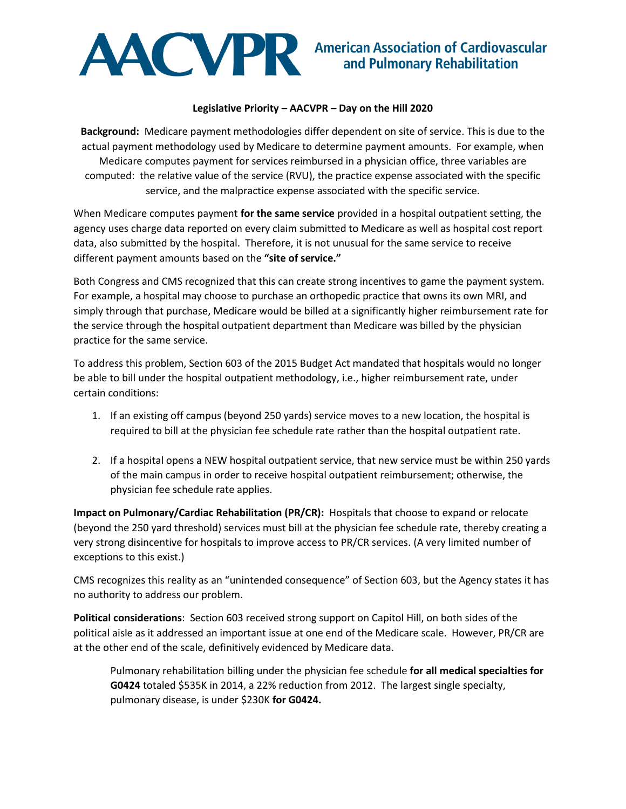

## **Legislative Priority – AACVPR – Day on the Hill 2020**

**Background:** Medicare payment methodologies differ dependent on site of service. This is due to the actual payment methodology used by Medicare to determine payment amounts. For example, when Medicare computes payment for services reimbursed in a physician office, three variables are computed: the relative value of the service (RVU), the practice expense associated with the specific service, and the malpractice expense associated with the specific service.

When Medicare computes payment **for the same service** provided in a hospital outpatient setting, the agency uses charge data reported on every claim submitted to Medicare as well as hospital cost report data, also submitted by the hospital. Therefore, it is not unusual for the same service to receive different payment amounts based on the **"site of service."**

Both Congress and CMS recognized that this can create strong incentives to game the payment system. For example, a hospital may choose to purchase an orthopedic practice that owns its own MRI, and simply through that purchase, Medicare would be billed at a significantly higher reimbursement rate for the service through the hospital outpatient department than Medicare was billed by the physician practice for the same service.

To address this problem, Section 603 of the 2015 Budget Act mandated that hospitals would no longer be able to bill under the hospital outpatient methodology, i.e., higher reimbursement rate, under certain conditions:

- 1. If an existing off campus (beyond 250 yards) service moves to a new location, the hospital is required to bill at the physician fee schedule rate rather than the hospital outpatient rate.
- 2. If a hospital opens a NEW hospital outpatient service, that new service must be within 250 yards of the main campus in order to receive hospital outpatient reimbursement; otherwise, the physician fee schedule rate applies.

**Impact on Pulmonary/Cardiac Rehabilitation (PR/CR):** Hospitals that choose to expand or relocate (beyond the 250 yard threshold) services must bill at the physician fee schedule rate, thereby creating a very strong disincentive for hospitals to improve access to PR/CR services. (A very limited number of exceptions to this exist.)

CMS recognizes this reality as an "unintended consequence" of Section 603, but the Agency states it has no authority to address our problem.

**Political considerations**: Section 603 received strong support on Capitol Hill, on both sides of the political aisle as it addressed an important issue at one end of the Medicare scale. However, PR/CR are at the other end of the scale, definitively evidenced by Medicare data.

Pulmonary rehabilitation billing under the physician fee schedule **for all medical specialties for G0424** totaled \$535K in 2014, a 22% reduction from 2012. The largest single specialty, pulmonary disease, is under \$230K **for G0424.**